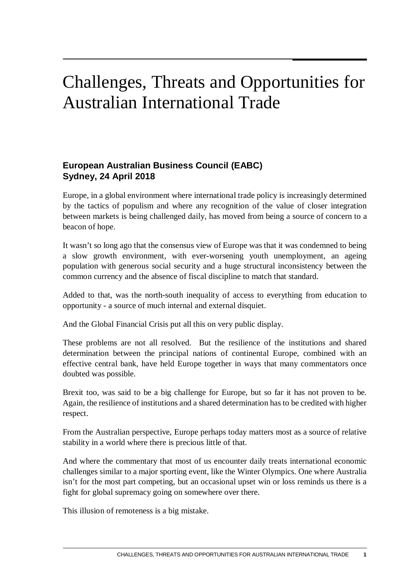## Challenges, Threats and Opportunities for Australian International Trade

## **European Australian Business Council (EABC) Sydney, 24 April 2018**

Europe, in a global environment where international trade policy is increasingly determined by the tactics of populism and where any recognition of the value of closer integration between markets is being challenged daily, has moved from being a source of concern to a beacon of hope.

It wasn't so long ago that the consensus view of Europe was that it was condemned to being a slow growth environment, with ever-worsening youth unemployment, an ageing population with generous social security and a huge structural inconsistency between the common currency and the absence of fiscal discipline to match that standard.

Added to that, was the north-south inequality of access to everything from education to opportunity - a source of much internal and external disquiet.

And the Global Financial Crisis put all this on very public display.

These problems are not all resolved. But the resilience of the institutions and shared determination between the principal nations of continental Europe, combined with an effective central bank, have held Europe together in ways that many commentators once doubted was possible.

Brexit too, was said to be a big challenge for Europe, but so far it has not proven to be. Again, the resilience of institutions and a shared determination has to be credited with higher respect.

From the Australian perspective, Europe perhaps today matters most as a source of relative stability in a world where there is precious little of that.

And where the commentary that most of us encounter daily treats international economic challenges similar to a major sporting event, like the Winter Olympics. One where Australia isn't for the most part competing, but an occasional upset win or loss reminds us there is a fight for global supremacy going on somewhere over there.

This illusion of remoteness is a big mistake.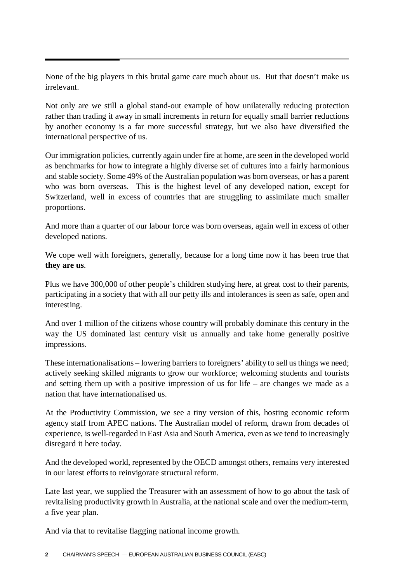None of the big players in this brutal game care much about us. But that doesn't make us irrelevant.

Not only are we still a global stand-out example of how unilaterally reducing protection rather than trading it away in small increments in return for equally small barrier reductions by another economy is a far more successful strategy, but we also have diversified the international perspective of us.

Our immigration policies, currently again under fire at home, are seen in the developed world as benchmarks for how to integrate a highly diverse set of cultures into a fairly harmonious and stable society. Some 49% of the Australian population was born overseas, or has a parent who was born overseas. This is the highest level of any developed nation, except for Switzerland, well in excess of countries that are struggling to assimilate much smaller proportions.

And more than a quarter of our labour force was born overseas, again well in excess of other developed nations.

We cope well with foreigners, generally, because for a long time now it has been true that **they are us**.

Plus we have 300,000 of other people's children studying here, at great cost to their parents, participating in a society that with all our petty ills and intolerances is seen as safe, open and interesting.

And over 1 million of the citizens whose country will probably dominate this century in the way the US dominated last century visit us annually and take home generally positive impressions.

These internationalisations – lowering barriers to foreigners' ability to sell us things we need; actively seeking skilled migrants to grow our workforce; welcoming students and tourists and setting them up with a positive impression of us for life – are changes we made as a nation that have internationalised us.

At the Productivity Commission, we see a tiny version of this, hosting economic reform agency staff from APEC nations. The Australian model of reform, drawn from decades of experience, is well-regarded in East Asia and South America, even as we tend to increasingly disregard it here today.

And the developed world, represented by the OECD amongst others, remains very interested in our latest efforts to reinvigorate structural reform.

Late last year, we supplied the Treasurer with an assessment of how to go about the task of revitalising productivity growth in Australia, at the national scale and over the medium-term, a five year plan.

And via that to revitalise flagging national income growth.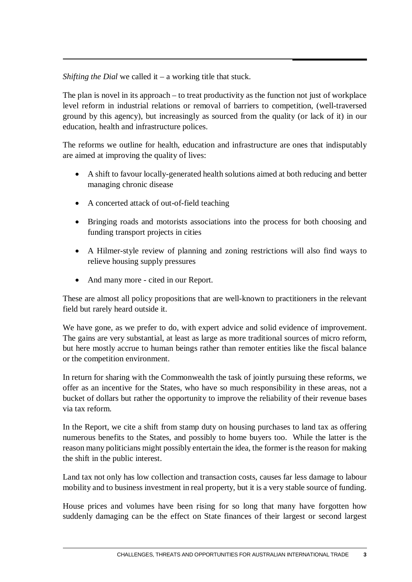*Shifting the Dial* we called it – a working title that stuck.

The plan is novel in its approach – to treat productivity as the function not just of workplace level reform in industrial relations or removal of barriers to competition, (well-traversed ground by this agency), but increasingly as sourced from the quality (or lack of it) in our education, health and infrastructure polices.

The reforms we outline for health, education and infrastructure are ones that indisputably are aimed at improving the quality of lives:

- A shift to favour locally-generated health solutions aimed at both reducing and better managing chronic disease
- A concerted attack of out-of-field teaching
- Bringing roads and motorists associations into the process for both choosing and funding transport projects in cities
- A Hilmer-style review of planning and zoning restrictions will also find ways to relieve housing supply pressures
- And many more cited in our Report.

These are almost all policy propositions that are well-known to practitioners in the relevant field but rarely heard outside it.

We have gone, as we prefer to do, with expert advice and solid evidence of improvement. The gains are very substantial, at least as large as more traditional sources of micro reform, but here mostly accrue to human beings rather than remoter entities like the fiscal balance or the competition environment.

In return for sharing with the Commonwealth the task of jointly pursuing these reforms, we offer as an incentive for the States, who have so much responsibility in these areas, not a bucket of dollars but rather the opportunity to improve the reliability of their revenue bases via tax reform.

In the Report, we cite a shift from stamp duty on housing purchases to land tax as offering numerous benefits to the States, and possibly to home buyers too. While the latter is the reason many politicians might possibly entertain the idea, the former is the reason for making the shift in the public interest.

Land tax not only has low collection and transaction costs, causes far less damage to labour mobility and to business investment in real property, but it is a very stable source of funding.

House prices and volumes have been rising for so long that many have forgotten how suddenly damaging can be the effect on State finances of their largest or second largest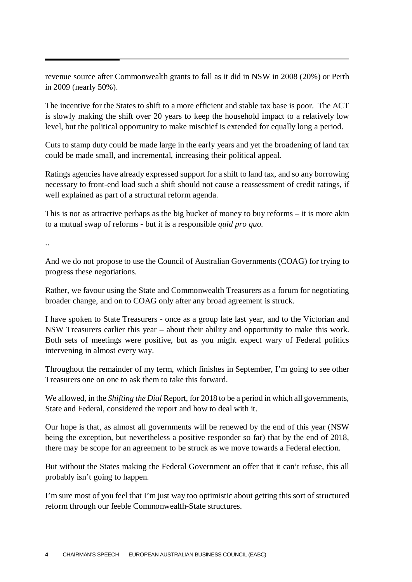revenue source after Commonwealth grants to fall as it did in NSW in 2008 (20%) or Perth in 2009 (nearly 50%).

The incentive for the States to shift to a more efficient and stable tax base is poor. The ACT is slowly making the shift over 20 years to keep the household impact to a relatively low level, but the political opportunity to make mischief is extended for equally long a period.

Cuts to stamp duty could be made large in the early years and yet the broadening of land tax could be made small, and incremental, increasing their political appeal.

Ratings agencies have already expressed support for a shift to land tax, and so any borrowing necessary to front-end load such a shift should not cause a reassessment of credit ratings, if well explained as part of a structural reform agenda.

This is not as attractive perhaps as the big bucket of money to buy reforms – it is more akin to a mutual swap of reforms - but it is a responsible *quid pro quo*.

..

And we do not propose to use the Council of Australian Governments (COAG) for trying to progress these negotiations.

Rather, we favour using the State and Commonwealth Treasurers as a forum for negotiating broader change, and on to COAG only after any broad agreement is struck.

I have spoken to State Treasurers - once as a group late last year, and to the Victorian and NSW Treasurers earlier this year – about their ability and opportunity to make this work. Both sets of meetings were positive, but as you might expect wary of Federal politics intervening in almost every way.

Throughout the remainder of my term, which finishes in September, I'm going to see other Treasurers one on one to ask them to take this forward.

We allowed, in the *Shifting the Dial* Report, for 2018 to be a period in which all governments, State and Federal, considered the report and how to deal with it.

Our hope is that, as almost all governments will be renewed by the end of this year (NSW being the exception, but nevertheless a positive responder so far) that by the end of 2018, there may be scope for an agreement to be struck as we move towards a Federal election.

But without the States making the Federal Government an offer that it can't refuse, this all probably isn't going to happen.

I'm sure most of you feel that I'm just way too optimistic about getting this sort of structured reform through our feeble Commonwealth-State structures.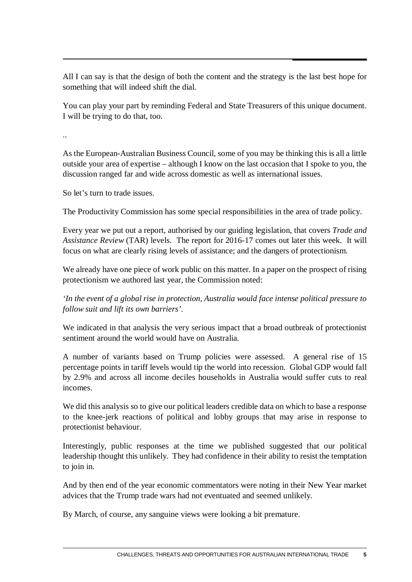All I can say is that the design of both the content and the strategy is the last best hope for something that will indeed shift the dial.

You can play your part by reminding Federal and State Treasurers of this unique document. I will be trying to do that, too.

..

As the European-Australian Business Council, some of you may be thinking this is all a little outside your area of expertise – although I know on the last occasion that I spoke to you, the discussion ranged far and wide across domestic as well as international issues.

So let's turn to trade issues.

The Productivity Commission has some special responsibilities in the area of trade policy.

Every year we put out a report, authorised by our guiding legislation, that covers *Trade and Assistance Review* (TAR) levels. The report for 2016-17 comes out later this week. It will focus on what are clearly rising levels of assistance; and the dangers of protectionism.

We already have one piece of work public on this matter. In a paper on the prospect of rising protectionism we authored last year, the Commission noted:

*'In the event of a global rise in protection, Australia would face intense political pressure to follow suit and lift its own barriers'.*

We indicated in that analysis the very serious impact that a broad outbreak of protectionist sentiment around the world would have on Australia.

A number of variants based on Trump policies were assessed. A general rise of 15 percentage points in tariff levels would tip the world into recession. Global GDP would fall by 2.9% and across all income deciles households in Australia would suffer cuts to real incomes.

We did this analysis so to give our political leaders credible data on which to base a response to the knee-jerk reactions of political and lobby groups that may arise in response to protectionist behaviour.

Interestingly, public responses at the time we published suggested that our political leadership thought this unlikely. They had confidence in their ability to resist the temptation to join in.

And by then end of the year economic commentators were noting in their New Year market advices that the Trump trade wars had not eventuated and seemed unlikely.

By March, of course, any sanguine views were looking a bit premature.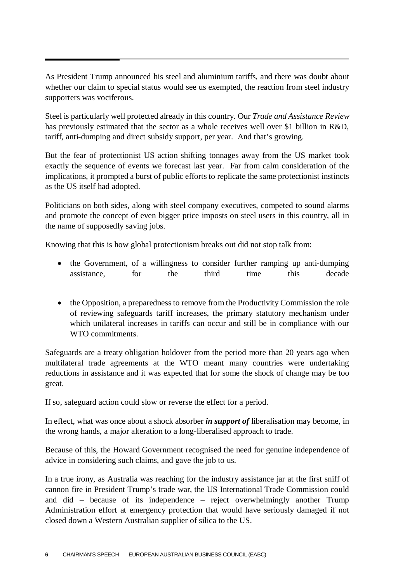As President Trump announced his steel and aluminium tariffs, and there was doubt about whether our claim to special status would see us exempted, the reaction from steel industry supporters was vociferous.

Steel is particularly well protected already in this country. Our *Trade and Assistance Review* has previously estimated that the sector as a whole receives well over \$1 billion in R&D, tariff, anti-dumping and direct subsidy support, per year. And that's growing.

But the fear of protectionist US action shifting tonnages away from the US market took exactly the sequence of events we forecast last year. Far from calm consideration of the implications, it prompted a burst of public efforts to replicate the same protectionist instincts as the US itself had adopted.

Politicians on both sides, along with steel company executives, competed to sound alarms and promote the concept of even bigger price imposts on steel users in this country, all in the name of supposedly saving jobs.

Knowing that this is how global protectionism breaks out did not stop talk from:

- the Government, of a willingness to consider further ramping up anti-dumping assistance, for the third time this decade
- the Opposition, a preparedness to remove from the Productivity Commission the role of reviewing safeguards tariff increases, the primary statutory mechanism under which unilateral increases in tariffs can occur and still be in compliance with our WTO commitments.

Safeguards are a treaty obligation holdover from the period more than 20 years ago when multilateral trade agreements at the WTO meant many countries were undertaking reductions in assistance and it was expected that for some the shock of change may be too great.

If so, safeguard action could slow or reverse the effect for a period.

In effect, what was once about a shock absorber *in support of* liberalisation may become, in the wrong hands, a major alteration to a long-liberalised approach to trade.

Because of this, the Howard Government recognised the need for genuine independence of advice in considering such claims, and gave the job to us.

In a true irony, as Australia was reaching for the industry assistance jar at the first sniff of cannon fire in President Trump's trade war, the US International Trade Commission could and did – because of its independence – reject overwhelmingly another Trump Administration effort at emergency protection that would have seriously damaged if not closed down a Western Australian supplier of silica to the US.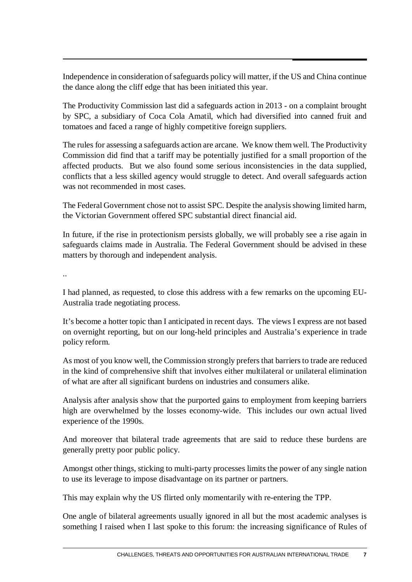Independence in consideration of safeguards policy will matter, if the US and China continue the dance along the cliff edge that has been initiated this year.

The Productivity Commission last did a safeguards action in 2013 - on a complaint brought by SPC, a subsidiary of Coca Cola Amatil, which had diversified into canned fruit and tomatoes and faced a range of highly competitive foreign suppliers.

The rules for assessing a safeguards action are arcane. We know them well. The Productivity Commission did find that a tariff may be potentially justified for a small proportion of the affected products. But we also found some serious inconsistencies in the data supplied, conflicts that a less skilled agency would struggle to detect. And overall safeguards action was not recommended in most cases.

The Federal Government chose not to assist SPC. Despite the analysis showing limited harm, the Victorian Government offered SPC substantial direct financial aid.

In future, if the rise in protectionism persists globally, we will probably see a rise again in safeguards claims made in Australia. The Federal Government should be advised in these matters by thorough and independent analysis.

..

I had planned, as requested, to close this address with a few remarks on the upcoming EU-Australia trade negotiating process.

It's become a hotter topic than I anticipated in recent days. The views I express are not based on overnight reporting, but on our long-held principles and Australia's experience in trade policy reform.

As most of you know well, the Commission strongly prefers that barriers to trade are reduced in the kind of comprehensive shift that involves either multilateral or unilateral elimination of what are after all significant burdens on industries and consumers alike.

Analysis after analysis show that the purported gains to employment from keeping barriers high are overwhelmed by the losses economy-wide. This includes our own actual lived experience of the 1990s.

And moreover that bilateral trade agreements that are said to reduce these burdens are generally pretty poor public policy.

Amongst other things, sticking to multi-party processes limits the power of any single nation to use its leverage to impose disadvantage on its partner or partners.

This may explain why the US flirted only momentarily with re-entering the TPP.

One angle of bilateral agreements usually ignored in all but the most academic analyses is something I raised when I last spoke to this forum: the increasing significance of Rules of